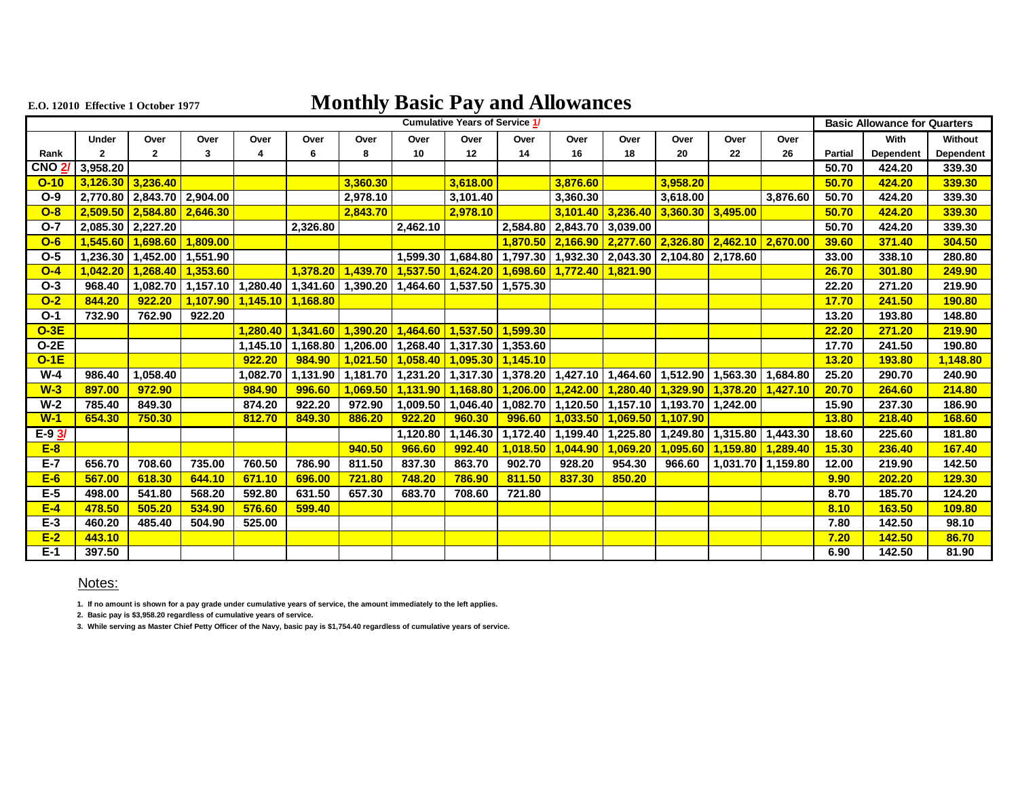## **E.O. 12010 Effective 1 October 1977 Monthly Basic Pay and Allowances**

|               | Cumulative Years of Service 1/                    |                                             |        |                                                                         |          |          |                                                               |          |        |                                                                              |                     |                     | <b>Basic Allowance for Quarters</b>                                                                                    |                                                                                                             |                |           |                  |
|---------------|---------------------------------------------------|---------------------------------------------|--------|-------------------------------------------------------------------------|----------|----------|---------------------------------------------------------------|----------|--------|------------------------------------------------------------------------------|---------------------|---------------------|------------------------------------------------------------------------------------------------------------------------|-------------------------------------------------------------------------------------------------------------|----------------|-----------|------------------|
|               | Under                                             | Over                                        | Over   | Over                                                                    | Over     | Over     | Over                                                          | Over     | Over   | Over                                                                         | Over                | Over                | Over                                                                                                                   | Over                                                                                                        |                | With      | Without          |
| Rank          |                                                   | $\overline{2}$                              | 3      |                                                                         |          | 8        | 10                                                            | 12       | 14     | 16                                                                           | 18                  | 20                  | 22                                                                                                                     | 26                                                                                                          | <b>Partial</b> | Dependent | <b>Dependent</b> |
| <b>CNO 2/</b> | 3,958.20                                          |                                             |        |                                                                         |          |          |                                                               |          |        |                                                                              |                     |                     |                                                                                                                        |                                                                                                             | 50.70          | 424.20    | 339.30           |
|               | $\overline{O}$ -10 $\overline{3,126.30}$ 3,236.40 |                                             |        |                                                                         |          | 3,360.30 |                                                               | 3,618.00 |        | 3,876.60                                                                     |                     | 3,958.20            |                                                                                                                        |                                                                                                             | 50.70          | 424.20    | 339.30           |
| $O-9$         |                                                   | 2,770.80 2,843.70 2,904.00                  |        |                                                                         |          | 2,978.10 |                                                               | 3,101.40 |        | 3,360.30                                                                     |                     | 3,618.00            |                                                                                                                        | 3,876.60                                                                                                    | 50.70          | 424.20    | 339.30           |
| $O-8$         |                                                   | $2,509.50$ 2,584.80 2,646.30                |        |                                                                         |          | 2.843.70 |                                                               | 2,978.10 |        |                                                                              | $3,101.40$ 3,236.40 | 3,360.30   3,495.00 |                                                                                                                        |                                                                                                             | 50.70          | 424.20    | 339.30           |
| $O-7$         |                                                   | 2,085.30 2,227.20                           |        |                                                                         | 2.326.80 |          | 2.462.10                                                      |          |        | 2,584.80 2,843.70 3,039.00                                                   |                     |                     |                                                                                                                        |                                                                                                             | 50.70          | 424.20    | 339.30           |
| $O - 6$       |                                                   | 1,545.60 1,698.60 1,809.00                  |        |                                                                         |          |          |                                                               |          |        |                                                                              |                     |                     | $1,870.50$ 2,166.90 $2,277.60$ 2,326.80 $2,462.10$ 2,670.00                                                            |                                                                                                             | 39.60          | 371.40    | 304.50           |
| $O-5$         |                                                   | 1,236.30   1,452.00   1,551.90              |        |                                                                         |          |          |                                                               |          |        | $1,599.30$   1,684.80   1,797.30   1,932.30   2,043.30   2,104.80   2,178.60 |                     |                     |                                                                                                                        |                                                                                                             | 33.00          | 338.10    | 280.80           |
| $O-4$         |                                                   | <mark>1,042.20   1,268.40   1,353.60</mark> |        |                                                                         | 1.378.20 | 1,439.70 | <u>  1,537.50   1,624.20   1,698.60   1,772.40   1,821.90</u> |          |        |                                                                              |                     |                     |                                                                                                                        |                                                                                                             | 26.70          | 301.80    | 249.90           |
| $O-3$         | 968.40                                            |                                             |        | 1,082.70 1,157.10 1,280.40 1,341.60 1,390.20 1,464.60 1,537.50 1,575.30 |          |          |                                                               |          |        |                                                                              |                     |                     |                                                                                                                        |                                                                                                             | 22.20          | 271.20    | 219.90           |
| $O-2$         | 844.20                                            | 922.20                                      |        | 1,107.90 1,145.10 1,168.80                                              |          |          |                                                               |          |        |                                                                              |                     |                     |                                                                                                                        |                                                                                                             | 17.70          | 241.50    | 190.80           |
| $O-1$         | 732.90                                            | 762.90                                      | 922.20 |                                                                         |          |          |                                                               |          |        |                                                                              |                     |                     |                                                                                                                        |                                                                                                             | 13.20          | 193.80    | 148.80           |
| $O-3E$        |                                                   |                                             |        | 1.280.40                                                                | 1,341.60 |          | <u>  1,390.20   1,464.60   1,537.50   1,599.30 </u>           |          |        |                                                                              |                     |                     |                                                                                                                        |                                                                                                             | 22.20          | 271.20    | 219.90           |
| $O-2E$        |                                                   |                                             |        | 1.145.10                                                                |          |          | $1,168.80$   1,206.00   1,268.40   1,317.30   1,353.60        |          |        |                                                                              |                     |                     |                                                                                                                        |                                                                                                             | 17.70          | 241.50    | 190.80           |
| $O-1E$        |                                                   |                                             |        | 922.20                                                                  | 984.90   |          | 1,021.50 1,058.40 1,095.30 1,145.10                           |          |        |                                                                              |                     |                     |                                                                                                                        |                                                                                                             | 13.20          | 193.80    | 1,148.80         |
| W-4           | 986.40                                            | 1,058.40                                    |        | 1,082.70                                                                |          |          |                                                               |          |        |                                                                              |                     |                     |                                                                                                                        | 1,131.90   1,181.70   1,231.20   1,317.30   1,378.20   1,427.10   1,464.60   1,512.90   1,563.30   1,684.80 | 25.20          | 290.70    | 240.90           |
| $W-3$         | 897.00                                            | 972.90                                      |        | 984.90                                                                  | 996.60   |          |                                                               |          |        |                                                                              |                     |                     | $1,069.50$   1,131.90   1,168.80   1,206.00   1,242.00   1,280.40   1,329.90   1,378.20   1,427.10                     |                                                                                                             | 20.70          | 264.60    | 214.80           |
| $W-2$         | 785.40                                            | 849.30                                      |        | 874.20                                                                  | 922.20   | 972.90   |                                                               |          |        |                                                                              |                     |                     | $\mid$ 1,009.50 $\mid$ 1,046.40 $\mid$ 1,082.70 $\mid$ 1,120.50 $\mid$ 1,157.10 $\mid$ 1,193.70 $\mid$ 1,242.00 $\mid$ |                                                                                                             | 15.90          | 237.30    | 186.90           |
| $W-1$         | 654.30                                            | 750.30                                      |        | 812.70                                                                  | 849.30   | 886.20   | 922.20                                                        | 960.30   |        | 996.60 1,033.50 1,069.50 1,107.90                                            |                     |                     |                                                                                                                        |                                                                                                             | 13.80          | 218.40    | 168.60           |
| $E - 93$      |                                                   |                                             |        |                                                                         |          |          |                                                               |          |        |                                                                              |                     |                     | 1,120.80   1,146.30   1,172.40   1,199.40   1,225.80   1,249.80   1,315.80   1,443.30                                  |                                                                                                             | 18.60          | 225.60    | 181.80           |
| $E-8$         |                                                   |                                             |        |                                                                         |          | 940.50   | 966.60                                                        | 992.40   |        | $1,018.50$ 1,044.90                                                          | 1,069.20            |                     | 1,095.60 1,159.80 1,289.40                                                                                             |                                                                                                             | 15.30          | 236.40    | 167.40           |
| $E-7$         | 656.70                                            | 708.60                                      | 735.00 | 760.50                                                                  | 786.90   | 811.50   | 837.30                                                        | 863.70   | 902.70 | 928.20                                                                       | 954.30              |                     | 966.60 1.031.70 1.159.80                                                                                               |                                                                                                             | 12.00          | 219.90    | 142.50           |
| $E-6$         | 567.00                                            | 618.30                                      | 644.10 | 671.10                                                                  | 696.00   | 721.80   | 748.20                                                        | 786.90   | 811.50 | 837.30                                                                       | 850.20              |                     |                                                                                                                        |                                                                                                             | 9.90           | 202.20    | 129.30           |
| $E-5$         | 498.00                                            | 541.80                                      | 568.20 | 592.80                                                                  | 631.50   | 657.30   | 683.70                                                        | 708.60   | 721.80 |                                                                              |                     |                     |                                                                                                                        |                                                                                                             | 8.70           | 185.70    | 124.20           |
| $E-4$         | 478.50                                            | 505.20                                      | 534.90 | 576.60                                                                  | 599.40   |          |                                                               |          |        |                                                                              |                     |                     |                                                                                                                        |                                                                                                             | 8.10           | 163.50    | 109.80           |
| $E-3$         | 460.20                                            | 485.40                                      | 504.90 | 525.00                                                                  |          |          |                                                               |          |        |                                                                              |                     |                     |                                                                                                                        |                                                                                                             | 7.80           | 142.50    | 98.10            |
| $E-2$         | 443.10                                            |                                             |        |                                                                         |          |          |                                                               |          |        |                                                                              |                     |                     |                                                                                                                        |                                                                                                             | 7.20           | 142.50    | 86.70            |
| $E-1$         | 397.50                                            |                                             |        |                                                                         |          |          |                                                               |          |        |                                                                              |                     |                     |                                                                                                                        |                                                                                                             | 6.90           | 142.50    | 81.90            |

## Notes:

**1. If no amount is shown for a pay grade under cumulative years of service, the amount immediately to the left applies.**

**2. Basic pay is \$3,958.20 regardless of cumulative years of service.**

**3. While serving as Master Chief Petty Officer of the Navy, basic pay is \$1,754.40 regardless of cumulative years of service.**